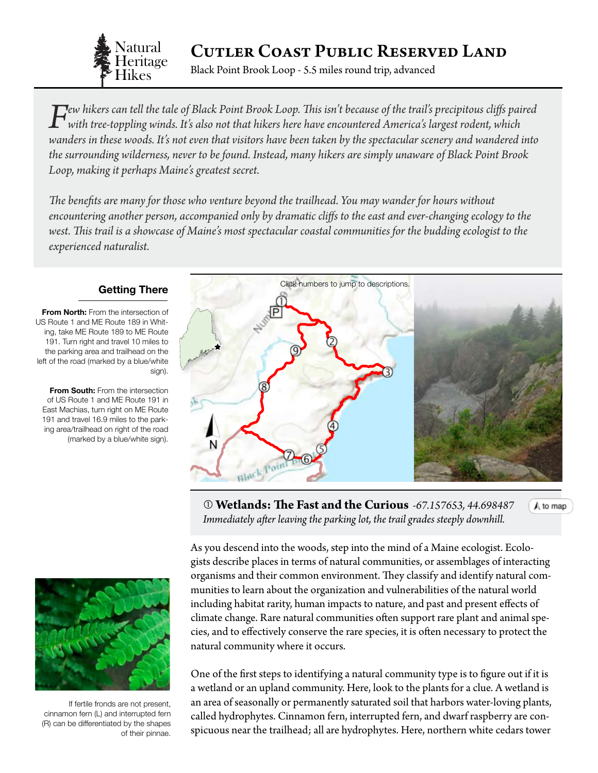

# Cutler Coast Public Reserved Land

Black Point Brook Loop - 5.5 miles round trip, advanced

 $\Gamma$  ew hikers can tell the tale of Black Point Brook Loop. This isn't because of the trail's precipitous cliffs paired<br>with tree-toppling winds. It's also not that hikers here have encountered America's largest rodent, w *wanders in these woods. It's not even that visitors have been taken by the spectacular scenery and wandered into the surrounding wilderness, never to be found. Instead, many hikers are simply unaware of Black Point Brook Loop, making it perhaps Maine's greatest secret.*

*The benefits are many for those who venture beyond the trailhead. You may wander for hours without encountering another person, accompanied only by dramatic cliffs to the east and ever-changing ecology to the*  west. This trail is a showcase of Maine's most spectacular coastal communities for the budding ecologist to the *experienced naturalist.*

### **Getting There**

**From North:** From the intersection of US Route 1 and ME Route 189 in Whiting, take ME Route 189 to ME Route 191. Turn right and travel 10 miles to the parking area and trailhead on the left of the road (marked by a blue/white sign).

**From South:** From the intersection of US Route 1 and ME Route 191 in East Machias, turn right on ME Route 191 and travel 16.9 miles to the parking area/trailhead on right of the road (marked by a blue/white sign).

<span id="page-0-0"></span>

 **Wetlands: The Fast and the Curious** *-67.157653, 44.69848[7](#page-0-0)* A to map *Immediately after leaving the parking lot, the trail grades steeply downhill.*

As you descend into the woods, step into the mind of a Maine ecologist. Ecologists describe places in terms of natural communities, or assemblages of interacting organisms and their common environment. They classify and identify natural communities to learn about the organization and vulnerabilities of the natural world including habitat rarity, human impacts to nature, and past and present effects of climate change. Rare natural communities often support rare plant and animal species, and to effectively conserve the rare species, it is often necessary to protect the natural community where it occurs.

One of the first steps to identifying a natural community type is to figure out if it is a wetland or an upland community. Here, look to the plants for a clue. A wetland is an area of seasonally or permanently saturated soil that harbors water-loving plants, called hydrophytes. Cinnamon fern, interrupted fern, and dwarf raspberry are conspicuous near the trailhead; all are hydrophytes. Here, northern white cedars tower



If fertile fronds are not present, cinnamon fern (L) and interrupted fern (R) can be differentiated by the shapes of their pinnae.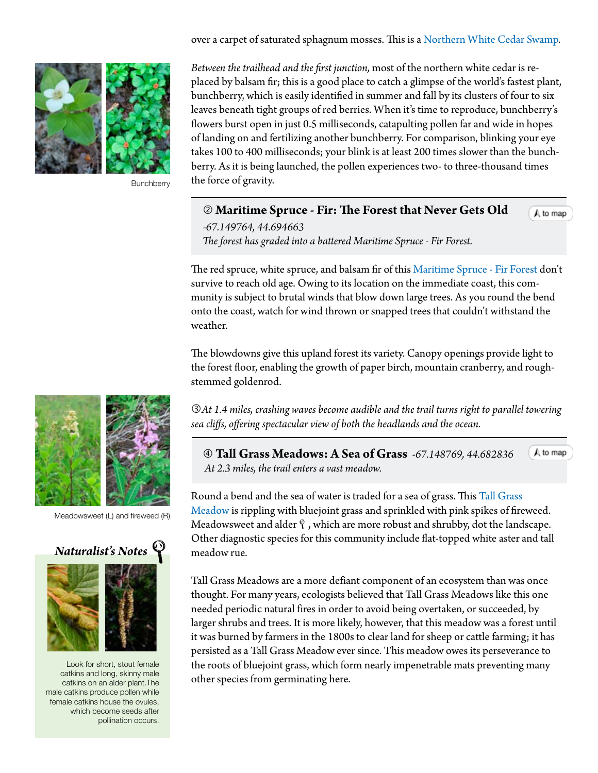over a carpet of saturated sphagnum mosses. This is a [Northern White Cedar Swamp.](http://www.maine.gov/dacf/mnap/features/communities/northernwhitecedarswamp.htm)



**Bunchberry** 

*Between the trailhead and the first junction,* most of the northern white cedar is replaced by balsam fir; this is a good place to catch a glimpse of the world's fastest plant, bunchberry, which is easily identified in summer and fall by its clusters of four to six leaves beneath tight groups of red berries. When it's time to reproduce, bunchberry's flowers burst open in just 0.5 milliseconds, catapulting pollen far and wide in hopes of landing on and fertilizing another bunchberry. For comparison, blinking your eye takes 100 to 400 milliseconds; your blink is at least 200 times slower than the bunchberry. As it is being launched, the pollen experiences two- to three-thousand times the force of gravity.

### <span id="page-1-0"></span>**Maritime Spruce - Fir: The Forest that Never Gets Old**

A to map

*-67.149764, 44.694663 The forest has graded into a battered Maritime Spruce - Fir Forest.*

The red spruce, white spruce, and balsam fir of this [Maritime Spruce - Fir Forest](http://www.maine.gov/dacf/mnap/features/communities/maritimesprucefirforest.htm) don't survive to reach old age. Owing to its location on the immediate coast, this community is subject to brutal winds that blow down large trees. As you round the bend onto the coast, watch for wind thrown or snapped trees that couldn't withstand the weather.

The blowdowns give this upland forest its variety. Canopy openings provide light to the forest floor, enabling the growth of paper birch, mountain cranberry, and roughstemmed goldenrod.

*At 1.4 miles, crashing waves become audible and the trail turns right to parallel towering sea cliffs, offering spectacular view of both the headlands and the ocean.*

 **[Tall Grass Meadows: A Sea of Grass](#page-1-0)** *-67.148769, 44.682836*  $A$  to map  *At 2.3 miles, the trail enters a vast meadow.*

Round a bend and the sea of water is traded for a sea of grass. This [Tall Grass](http://www.maine.gov/dacf/mnap/features/communities/bluejointmeadow.htm)  [Meadow](http://www.maine.gov/dacf/mnap/features/communities/bluejointmeadow.htm) is rippling with bluejoint grass and sprinkled with pink spikes of fireweed. Meadowsweet and alder  $\hat{\mathcal{Y}}$ , which are more robust and shrubby, dot the landscape. Other diagnostic species for this community include flat-topped white aster and tall meadow rue.

Tall Grass Meadows are a more defiant component of an ecosystem than was once thought. For many years, ecologists believed that Tall Grass Meadows like this one needed periodic natural fires in order to avoid being overtaken, or succeeded, by larger shrubs and trees. It is more likely, however, that this meadow was a forest until it was burned by farmers in the 1800s to clear land for sheep or cattle farming; it has persisted as a Tall Grass Meadow ever since. This meadow owes its perseverance to the roots of bluejoint grass, which form nearly impenetrable mats preventing many other species from germinating here.



Meadowsweet (L) and fireweed (R)

# *Naturalist's Notes*

Look for short, stout female catkins and long, skinny male catkins on an alder plant.The male catkins produce pollen while female catkins house the ovules, which become seeds after pollination occurs.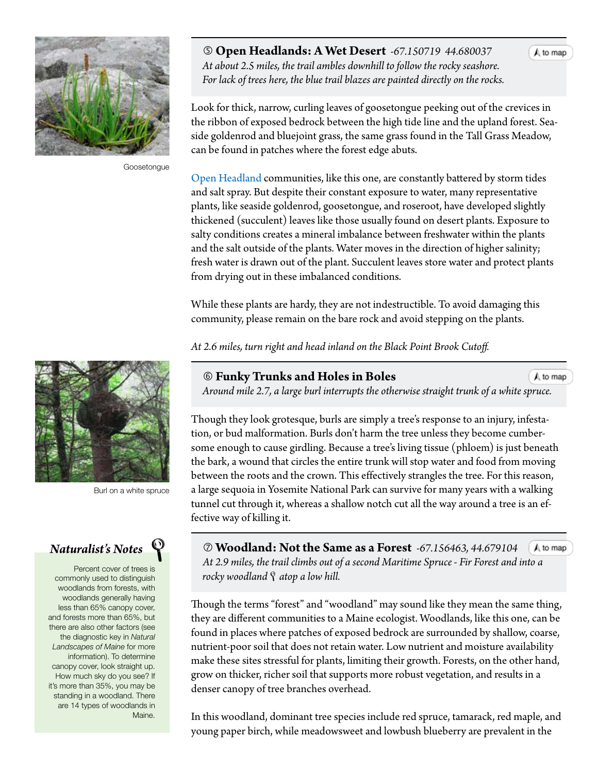

Goosetongue

Burl on a white spruce

# *Naturalist's Notes*

Percent cover of trees is commonly used to distinguish woodlands from forests, with woodlands generally having less than 65% canopy cover, and forests more than 65%, but there are also other factors (see the diagnostic key in *Natural Landscapes of Maine* for more information). To determine canopy cover, look straight up. How much sky do you see? If it's more than 35%, you may be standing in a woodland. There are 14 types of woodlands in Maine.

 **[Open Headlands: A Wet Desert](#page-1-0)** *-67.150719 44.680037 At about 2.5 miles, the trail ambles downhill to follow the rocky seashore. For lack of trees here, the blue trail blazes are painted directly on the rocks.*

Look for thick, narrow, curling leaves of goosetongue peeking out of the crevices in the ribbon of exposed bedrock between the high tide line and the upland forest. Seaside goldenrod and bluejoint grass, the same grass found in the Tall Grass Meadow, can be found in patches where the forest edge abuts.

[Open Headland](http://www.maine.gov/dacf/mnap/features/communities/openheadland.htm) communities, like this one, are constantly battered by storm tides and salt spray. But despite their constant exposure to water, many representative plants, like seaside goldenrod, goosetongue, and roseroot, have developed slightly thickened (succulent) leaves like those usually found on desert plants. Exposure to salty conditions creates a mineral imbalance between freshwater within the plants and the salt outside of the plants. Water moves in the direction of higher salinity; fresh water is drawn out of the plant. Succulent leaves store water and protect plants from drying out in these imbalanced conditions.

While these plants are hardy, they are not indestructible. To avoid damaging this community, please remain on the bare rock and avoid stepping on the plants.

*At 2.6 miles, turn right and head inland on the Black Point Brook Cutoff.*

### **Funky Trunks and Holes in Boles**

 *Around mile 2.7, a large burl interrupts the otherwise straight trunk of a wh[ite spruce.](#page-0-0)*

Though they look grotesque, burls are simply a tree's response to an injury, infestation, or bud malformation. Burls don't harm the tree unless they become cumbersome enough to cause girdling. Because a tree's living tissue (phloem) is just beneath the bark, a wound that circles the entire trunk will stop water and food from moving between the roots and the crown. This effectively strangles the tree. For this reason, a large sequoia in Yosemite National Park can survive for many years with a walking tunnel cut through it, whereas a shallow notch cut all the way around a tree is an effective way of killing it.

 **Woodland: Not the Same as a Forest** *-67.156463, 44.679104*  $A$  to map  *At 2.9 miles, the trail climbs out of a second Maritime Spruce - Fir Forest an[d into a](#page-0-0) rocky woodland*  $\mathcal Q$  *atop a low hill.* 

Though the terms "forest" and "woodland" may sound like they mean the same thing, they are different communities to a Maine ecologist. Woodlands, like this one, can be found in places where patches of exposed bedrock are surrounded by shallow, coarse, nutrient-poor soil that does not retain water. Low nutrient and moisture availability make these sites stressful for plants, limiting their growth. Forests, on the other hand, grow on thicker, richer soil that supports more robust vegetation, and results in a denser canopy of tree branches overhead.

In this woodland, dominant tree species include red spruce, tamarack, red maple, and young paper birch, while meadowsweet and lowbush blueberry are prevalent in the

A to map

A to map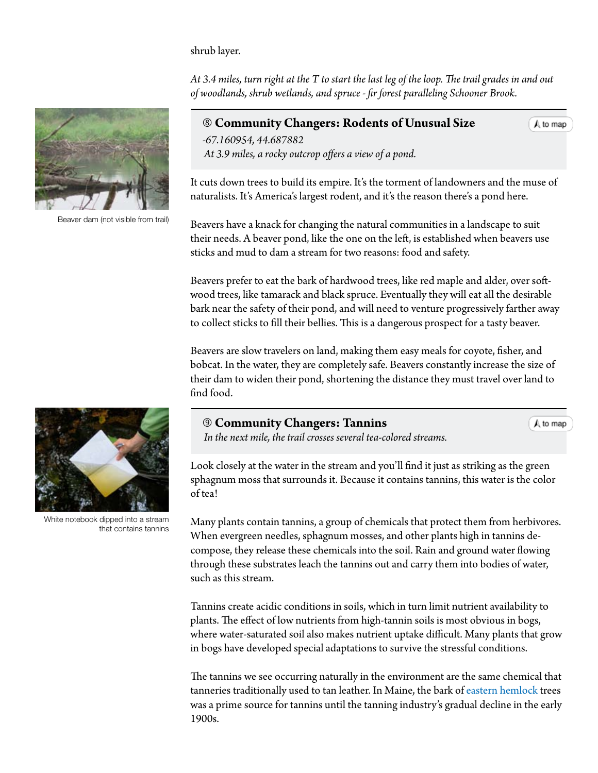shrub layer.

*At 3.4 miles, turn right at the T to start the last leg of the loop. The trail grades in and out of woodlands, shrub wetlands, and spruce - fir forest paralleling Schooner Brook.* 

## **Community Changers: Rodents of Unusual Size** *-67.160954, 44.687882*

A to map

 *At 3.9 miles, a rocky outcrop offers a view of a pond.*

It cuts down trees to build its empire. It's the torment of landowners and the muse of naturalists. It's America's largest rodent, and it's the reason there's a pond here.

Beavers have a knack for changing the natural communities in a landscape to suit their needs. A beaver pond, like the one on the left, is established when beavers use sticks and mud to dam a stream for two reasons: food and safety.

Beavers prefer to eat the bark of hardwood trees, like red maple and alder, over softwood trees, like tamarack and black spruce. Eventually they will eat all the desirable bark near the safety of their pond, and will need to venture progressively farther away to collect sticks to fill their bellies. This is a dangerous prospect for a tasty beaver.

Beavers are slow travelers on land, making them easy meals for coyote, fisher, and bobcat. In the water, they are completely safe. Beavers constantly increase the size of their dam to widen their pond, shortening the distance they must travel over land to find food.

### **Community Changers: Tannins**

A to map

 *In the next mile, the trail crosses several tea-colored streams.*

Look closely at the water in the stream and you'll find it just as striking as the green sphagnum moss that surrounds it. Because it contains tannins, this water is the color of tea!

Many plants contain tannins, a group of chemicals that protect them from herbivores. When evergreen needles, sphagnum mosses, and other plants high in tannins decompose, they release these chemicals into the soil. Rain and ground water flowing through these substrates leach the tannins out and carry them into bodies of water, such as this stream.

Tannins create acidic conditions in soils, which in turn limit nutrient availability to plants. The effect of low nutrients from high-tannin soils is most obvious in bogs, where water-saturated soil also makes nutrient uptake difficult. Many plants that grow in bogs have developed special adaptations to survive the stressful conditions.

The tannins we see occurring naturally in the environment are the same chemical that tanneries traditionally used to tan leather. In Maine, the bark of [eastern hemlock](http://dendro.cnre.vt.edu/dendrology/syllabus/factsheet.cfm?ID=116) trees was a prime source for tannins until the tanning industry's gradual decline in the early 1900s.



White notebook dipped into a stream that contains tannins



Beaver dam (not visible from trail)